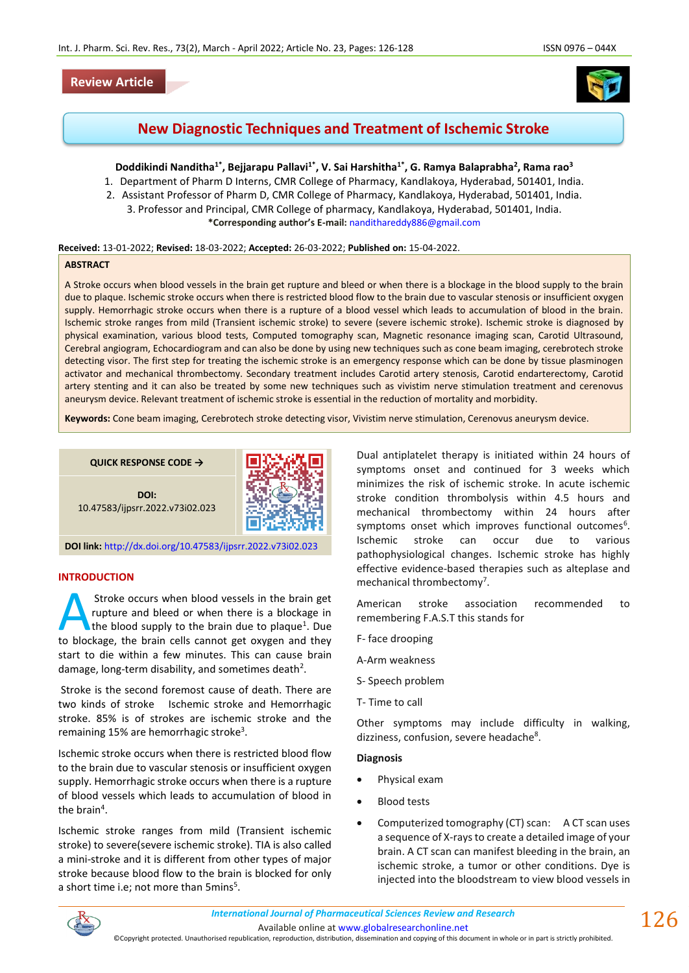# **Review Article**



# **New Diagnostic Techniques and Treatment of Ischemic Stroke**

# **Doddikindi Nanditha1\*, Bejjarapu Pallavi1\*, V. Sai Harshitha1\*, G. Ramya Balaprabha<sup>2</sup> , Rama rao<sup>3</sup>**

- 1. Department of Pharm D Interns, CMR College of Pharmacy, Kandlakoya, Hyderabad, 501401, India.
- 2. Assistant Professor of Pharm D, CMR College of Pharmacy, Kandlakoya, Hyderabad, 501401, India. 3. Professor and Principal, CMR College of pharmacy, Kandlakoya, Hyderabad, 501401, India. **\*Corresponding author's E-mail:** [nandithareddy886@gmail.com](mailto:nandithareddy886@gmail.com)

### **Received:** 13-01-2022; **Revised:** 18-03-2022; **Accepted:** 26-03-2022; **Published on:** 15-04-2022.

#### **ABSTRACT**

A Stroke occurs when blood vessels in the brain get rupture and bleed or when there is a blockage in the blood supply to the brain due to plaque. Ischemic stroke occurs when there is restricted blood flow to the brain due to vascular stenosis or insufficient oxygen supply. Hemorrhagic stroke occurs when there is a rupture of a blood vessel which leads to accumulation of blood in the brain. Ischemic stroke ranges from mild (Transient ischemic stroke) to severe (severe ischemic stroke). Ischemic stroke is diagnosed by physical examination, various blood tests, Computed tomography scan, Magnetic resonance imaging scan, Carotid Ultrasound, Cerebral angiogram, Echocardiogram and can also be done by using new techniques such as cone beam imaging, cerebrotech stroke detecting visor. The first step for treating the ischemic stroke is an emergency response which can be done by tissue plasminogen activator and mechanical thrombectomy. Secondary treatment includes Carotid artery stenosis, Carotid endarterectomy, Carotid artery stenting and it can also be treated by some new techniques such as vivistim nerve stimulation treatment and cerenovus aneurysm device. Relevant treatment of ischemic stroke is essential in the reduction of mortality and morbidity.

**Keywords:** Cone beam imaging, Cerebrotech stroke detecting visor, Vivistim nerve stimulation, Cerenovus aneurysm device.

**QUICK RESPONSE CODE →**



**DOI:** 10.47583/ijpsrr.2022.v73i02.023

**DOI link:** <http://dx.doi.org/10.47583/ijpsrr.2022.v73i02.023>

### **INTRODUCTION**

Stroke occurs when blood vessels in the brain get rupture and bleed or when there is a blockage in the blood supply to the brain due to plaque<sup>1</sup>. Due Stroke occurs when blood vessels in the brain get<br>
rupture and bleed or when there is a blockage in<br>
the blood supply to the brain due to plaque<sup>1</sup>. Due<br>
to blockage, the brain cells cannot get oxygen and they start to die within a few minutes. This can cause brain damage, long-term disability, and sometimes death<sup>2</sup>.

Stroke is the second foremost cause of death. There are two kinds of stroke Ischemic stroke and Hemorrhagic stroke. 85% is of strokes are ischemic stroke and the remaining 15% are hemorrhagic stroke<sup>3</sup>.

Ischemic stroke occurs when there is restricted blood flow to the brain due to vascular stenosis or insufficient oxygen supply. Hemorrhagic stroke occurs when there is a rupture of blood vessels which leads to accumulation of blood in the brain<sup>4</sup>.

Ischemic stroke ranges from mild (Transient ischemic stroke) to severe(severe ischemic stroke). TIA is also called a mini-stroke and it is different from other types of major stroke because blood flow to the brain is blocked for only a short time i.e; not more than 5mins<sup>5</sup>.

Dual antiplatelet therapy is initiated within 24 hours of symptoms onset and continued for 3 weeks which minimizes the risk of ischemic stroke. In acute ischemic stroke condition thrombolysis within 4.5 hours and mechanical thrombectomy within 24 hours after symptoms onset which improves functional outcomes<sup>6</sup>. Ischemic stroke can occur due to various pathophysiological changes. Ischemic stroke has highly effective evidence-based therapies such as alteplase and mechanical thrombectomy<sup>7</sup>.

American stroke association recommended to remembering F.A.S.T this stands for

- F- face drooping
- A-Arm weakness
- S- Speech problem
- T- Time to call

Other symptoms may include difficulty in walking, dizziness, confusion, severe headache<sup>8</sup>.

#### **Diagnosis**

- Physical exam
- **Blood tests**
- Computerized tomography (CT) scan: A CT scan uses a sequence of X-rays to create a detailed image of your brain. A CT scan can manifest bleeding in the brain, an ischemic stroke, a tumor or other conditions. Dye is injected into the bloodstream to view blood vessels in



Available online a[t www.globalresearchonline.net](http://www.globalresearchonline.net/)

©Copyright protected. Unauthorised republication, reproduction, distribution, dissemination and copying of this document in whole or in part is strictly prohibited.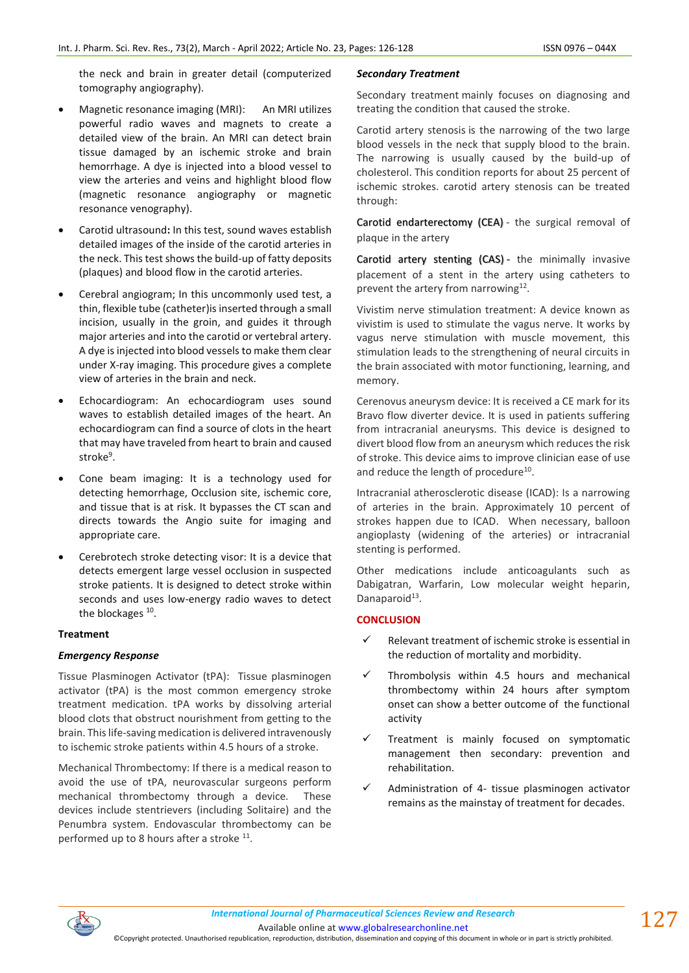the neck and brain in greater detail (computerized tomography angiography).

- Magnetic resonance imaging (MRI): An MRI utilizes powerful radio waves and magnets to create a detailed view of the brain. An MRI can detect brain tissue damaged by an ischemic stroke and brain hemorrhage. A dye is injected into a blood vessel to view the arteries and veins and highlight blood flow (magnetic resonance angiography or magnetic resonance venography).
- Carotid ultrasound**:** In this test, sound waves establish detailed images of the inside of the carotid arteries in the neck. This test shows the build-up of fatty deposits (plaques) and blood flow in the carotid arteries.
- Cerebral angiogram; In this uncommonly used test, a thin, flexible tube (catheter)is inserted through a small incision, usually in the groin, and guides it through major arteries and into the carotid or vertebral artery. A dye is injected into blood vessels to make them clear under X-ray imaging. This procedure gives a complete view of arteries in the brain and neck.
- Echocardiogram: An echocardiogram uses sound waves to establish detailed images of the heart. An echocardiogram can find a source of clots in the heart that may have traveled from heart to brain and caused stroke<sup>9</sup>.
- Cone beam imaging: It is a technology used for detecting hemorrhage, Occlusion site, ischemic core, and tissue that is at risk. It bypasses the CT scan and directs towards the Angio suite for imaging and appropriate care.
- Cerebrotech stroke detecting visor: It is a device that detects emergent large vessel occlusion in suspected stroke patients. It is designed to detect stroke within seconds and uses low-energy radio waves to detect the blockages <sup>10</sup>.

# **Treatment**

# *Emergency Response*

Tissue Plasminogen Activator (tPA): Tissue plasminogen activator (tPA) is the most common emergency stroke treatment medication. tPA works by dissolving arterial blood clots that obstruct nourishment from getting to the brain. This life-saving medication is delivered intravenously to ischemic stroke patients within 4.5 hours of a stroke.

Mechanical Thrombectomy: If there is a medical reason to avoid the use of tPA, neurovascular surgeons perform mechanical thrombectomy through a device. These devices include stentrievers (including Solitaire) and the Penumbra system. Endovascular thrombectomy can be performed up to 8 hours after a stroke <sup>11</sup>.

### *Secondary Treatment*

Secondary treatment mainly focuses on diagnosing and treating the condition that caused the stroke.

Carotid artery stenosis is the narrowing of the two large blood vessels in the neck that supply blood to the brain. The narrowing is usually caused by the build-up of cholesterol. This condition reports for about 25 percent of ischemic strokes. carotid artery stenosis can be treated through:

[Carotid endarterectomy \(CEA\)](http://myhealth.ucsd.edu/92%2cP08293) - the surgical removal of plaque in the artery

[Carotid artery stenting \(CAS\)](https://myhealth.ucsd.edu/Search/3%2c88482) - the minimally invasive placement of a stent in the artery using catheters to prevent the artery from narrowing<sup>12</sup>.

Vivistim nerve stimulation treatment: A device known as vivistim is used to stimulate the vagus nerve. It works by vagus nerve stimulation with muscle movement, this stimulation leads to the strengthening of neural circuits in the brain associated with motor functioning, learning, and memory.

Cerenovus aneurysm device: It is received a CE mark for its Bravo flow diverter device. It is used in patients suffering from intracranial aneurysms. This device is designed to divert blood flow from an aneurysm which reduces the risk of stroke. This device aims to improve clinician ease of use and reduce the length of procedure<sup>10</sup>.

Intracranial atherosclerotic disease (ICAD): Is a narrowing of arteries in the brain. Approximately 10 percent of strokes happen due to ICAD. When necessary, balloon angioplasty (widening of the arteries) or intracranial stenting is performed.

Other medications include anticoagulants such as Dabigatran, Warfarin, Low molecular weight heparin, Danaparoid<sup>13</sup>.

### **CONCLUSION**

- Relevant treatment of ischemic stroke is essential in the reduction of mortality and morbidity.
- $\checkmark$  Thrombolysis within 4.5 hours and mechanical thrombectomy within 24 hours after symptom onset can show a better outcome of the functional activity
- Treatment is mainly focused on symptomatic management then secondary: prevention and rehabilitation.
- Administration of 4- tissue plasminogen activator remains as the mainstay of treatment for decades.



Available online a[t www.globalresearchonline.net](http://www.globalresearchonline.net/)